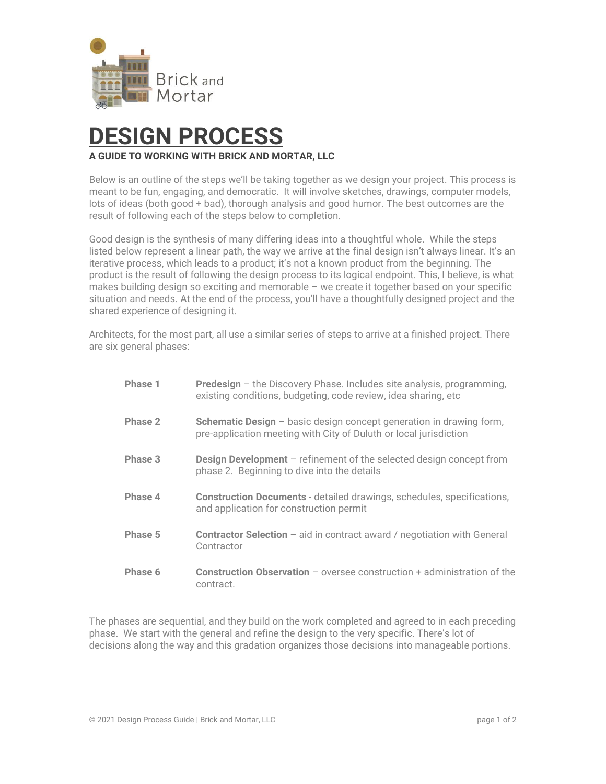

# **DESIGN PROCESS**

### **A GUIDE TO WORKING WITH BRICK AND MORTAR, LLC**

Below is an outline of the steps we'll be taking together as we design your project. This process is meant to be fun, engaging, and democratic. It will involve sketches, drawings, computer models, lots of ideas (both good + bad), thorough analysis and good humor. The best outcomes are the result of following each of the steps below to completion.

Good design is the synthesis of many differing ideas into a thoughtful whole. While the steps listed below represent a linear path, the way we arrive at the final design isn't always linear. It's an iterative process, which leads to a product; it's not a known product from the beginning. The product is the result of following the design process to its logical endpoint. This, I believe, is what makes building design so exciting and memorable – we create it together based on your specific situation and needs. At the end of the process, you'll have a thoughtfully designed project and the shared experience of designing it.

Architects, for the most part, all use a similar series of steps to arrive at a finished project. There are six general phases:

| Phase 1 | <b>Predesign</b> $-$ the Discovery Phase. Includes site analysis, programming,<br>existing conditions, budgeting, code review, idea sharing, etc  |
|---------|---------------------------------------------------------------------------------------------------------------------------------------------------|
| Phase 2 | <b>Schematic Design</b> $-$ basic design concept generation in drawing form,<br>pre-application meeting with City of Duluth or local jurisdiction |
| Phase 3 | <b>Design Development</b> – refinement of the selected design concept from<br>phase 2. Beginning to dive into the details                         |
| Phase 4 | <b>Construction Documents</b> - detailed drawings, schedules, specifications,<br>and application for construction permit                          |
| Phase 5 | <b>Contractor Selection</b> – aid in contract award / negotiation with General<br>Contractor                                                      |
| Phase 6 | <b>Construction Observation</b> $-$ oversee construction $+$ administration of the<br>contract.                                                   |

The phases are sequential, and they build on the work completed and agreed to in each preceding phase. We start with the general and refine the design to the very specific. There's lot of decisions along the way and this gradation organizes those decisions into manageable portions.